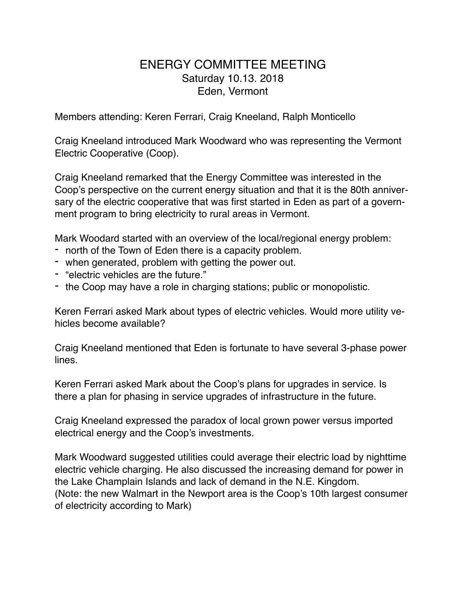## ENERGY COMMITTEE MEETING Saturday 10.13. 2018 Eden, Vermont

Members attending: Keren Ferrari, Craig Kneeland, Ralph Monticello

Craig Kneeland introduced Mark Woodward who was representing the Vermont Electric Cooperative (Coop).

Craig Kneeland remarked that the Energy Committee was interested in the Coop's perspective on the current energy situation and that it is the 80th anniversary of the electric cooperative that was first started in Eden as part of a government program to bring electricity to rural areas in Vermont.

Mark Woodard started with an overview of the local/regional energy problem:

- north of the Town of Eden there is a capacity problem.
- when generated, problem with getting the power out.
- "electric vehicles are the future."
- the Coop may have a role in charging stations; public or monopolistic.

Keren Ferrari asked Mark about types of electric vehicles. Would more utility vehicles become available?

Craig Kneeland mentioned that Eden is fortunate to have several 3-phase power lines.

Keren Ferrari asked Mark about the Coop's plans for upgrades in service. Is there a plan for phasing in service upgrades of infrastructure in the future.

Craig Kneeland expressed the paradox of local grown power versus imported electrical energy and the Coop's investments.

Mark Woodward suggested utilities could average their electric load by nighttime electric vehicle charging. He also discussed the increasing demand for power in the Lake Champlain Islands and lack of demand in the N.E. Kingdom. (Note: the new Walmart in the Newport area is the Coop's 10th largest consumer of electricity according to Mark)